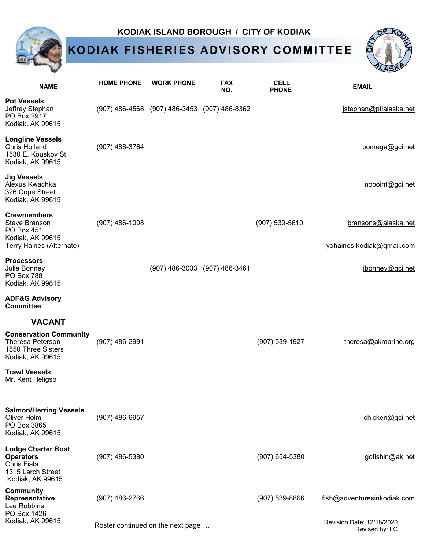### **KODIAK ISLAND BOROUGH / CITY OF KODIAK**

# **KODIAK FISHERIES ADVISORY COMMITTEE**



|                                                                                                          |                                   |                                              |                               |                             | لاحت                                             |
|----------------------------------------------------------------------------------------------------------|-----------------------------------|----------------------------------------------|-------------------------------|-----------------------------|--------------------------------------------------|
| <b>NAME</b>                                                                                              | <b>HOME PHONE</b>                 | <b>WORK PHONE</b>                            | <b>FAX</b><br>NO.             | <b>CELL</b><br><b>PHONE</b> | <b>EMAIL</b>                                     |
| <b>Pot Vessels</b><br>Jeffrey Stephan<br>PO Box 2917<br>Kodiak, AK 99615                                 |                                   | (907) 486-4568 (907) 486-3453 (907) 486-8362 |                               |                             | jstephan@ptialaska.net                           |
| <b>Longline Vessels</b><br><b>Chris Holland</b><br>1530 E. Kouskov St.<br>Kodiak, AK 99615               | (907) 486-3764                    |                                              |                               |                             | pomega@gci.net                                   |
| <b>Jig Vessels</b><br>Alexus Kwachka<br>326 Cope Street<br>Kodiak, AK 99615                              |                                   |                                              |                               |                             | nopoint@gci.net                                  |
| <b>Crewmembers</b><br>Steve Branson<br><b>PO Box 451</b><br>Kodiak, AK 99615<br>Terry Haines (Alternate) | $(907)$ 486-1098                  |                                              |                               | (907) 539-5610              | bransons@alaska.net<br>yohaines.kodiak@gmail.com |
| <b>Processors</b><br>Julie Bonney<br><b>PO Box 788</b><br>Kodiak, AK 99615                               |                                   |                                              | (907) 486-3033 (907) 486-3461 |                             | jbonney@gci.net                                  |
| <b>ADF&amp;G Advisory</b><br><b>Committee</b>                                                            |                                   |                                              |                               |                             |                                                  |
| <b>VACANT</b>                                                                                            |                                   |                                              |                               |                             |                                                  |
| <b>Conservation Community</b><br><b>Theresa Peterson</b><br>1850 Three Sisters<br>Kodiak, AK 99615       | (907) 486-2991                    |                                              |                               | $(907) 539 - 1927$          | theresa@akmarine.org                             |
| <b>Trawl Vessels</b><br>Mr. Kent Heligso                                                                 |                                   |                                              |                               |                             |                                                  |
| <b>Salmon/Herring Vessels</b><br>Oliver Holm<br>PO Box 3865<br>Kodiak, AK 99615                          | (907) 486-6957                    |                                              |                               |                             | chicken@gci.net                                  |
| <b>Lodge Charter Boat</b><br><b>Operators</b><br>Chris Fiala<br>1315 Larch Street<br>Kodiak, AK 99615    | (907) 486-5380                    |                                              |                               | (907) 654-5380              | gofishin@ak.net                                  |
| <b>Community</b><br>Representative<br>Lee Robbins<br>PO Box 1426                                         | $(907)$ 486-2766                  |                                              |                               | (907) 539-8866              | fish@adventuresinkodiak.com                      |
| Kodiak, AK 99615                                                                                         | Roster continued on the next page |                                              |                               |                             | Revision Date: 12/18/2020<br>Revised by: LC      |